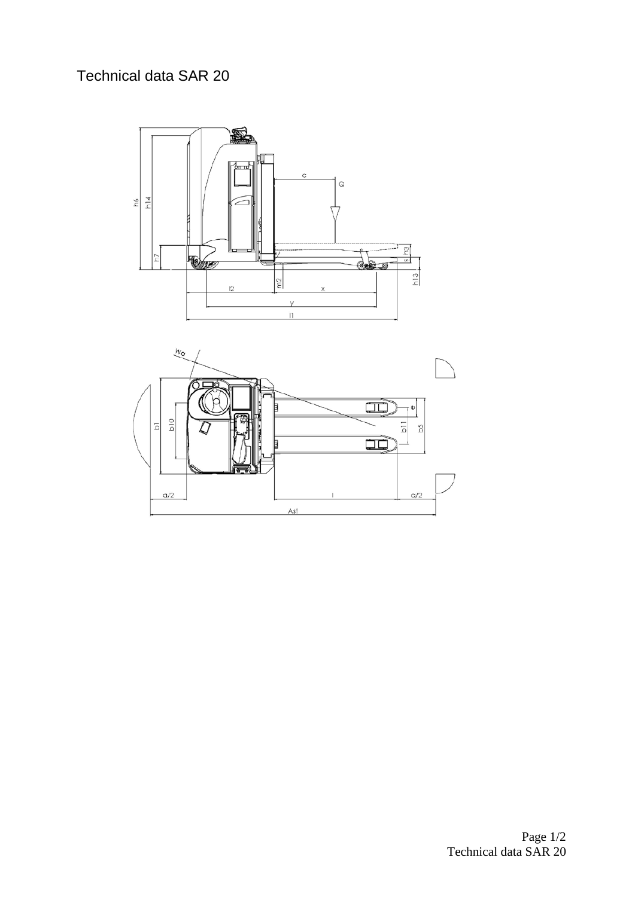## Technical data SAR 20